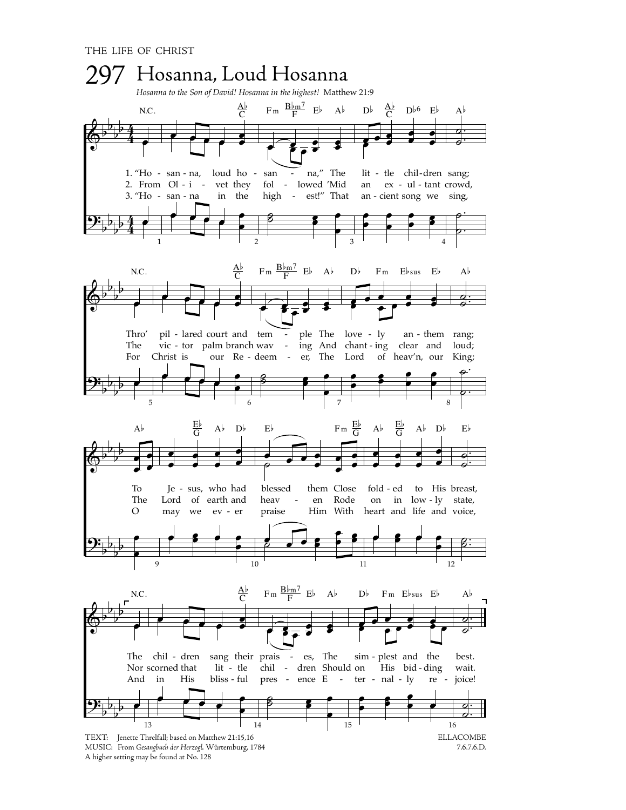

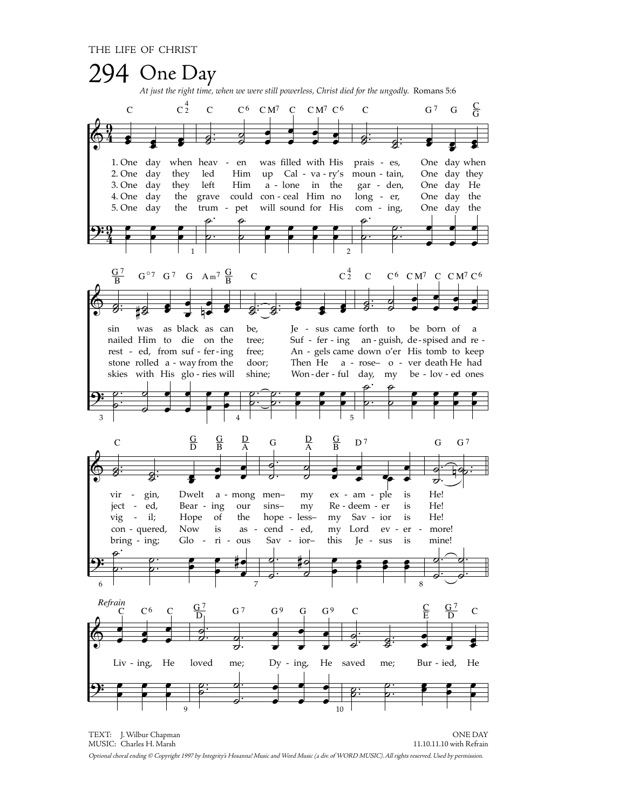

TEXT: J. Wilbur Chapman **ONE DAY** MUSIC: Charles H. Marsh 11.10.11.10 with Refrain Optional choral ending @ Copyright 1997 by Integrity's Hosanna! Music and Word Music (a div. of WORD MUSIC). All rights reserved. Used by permission.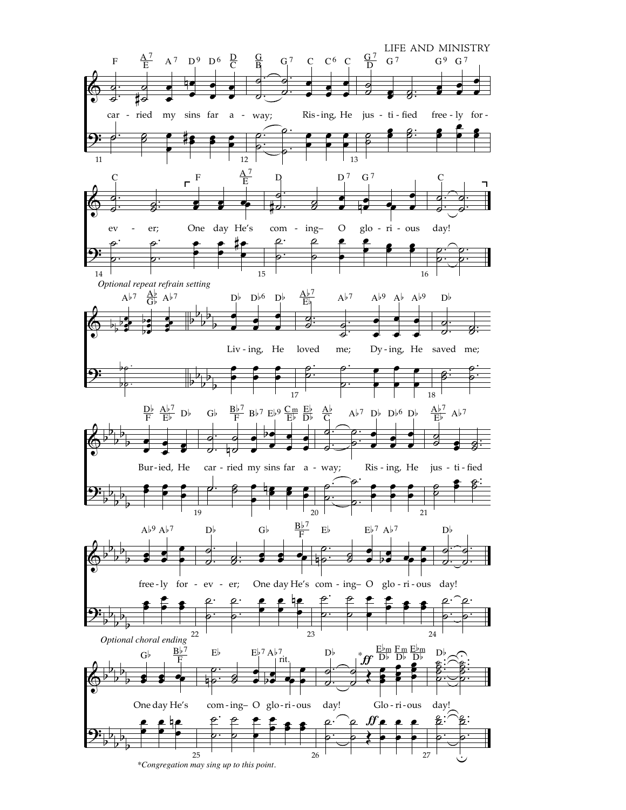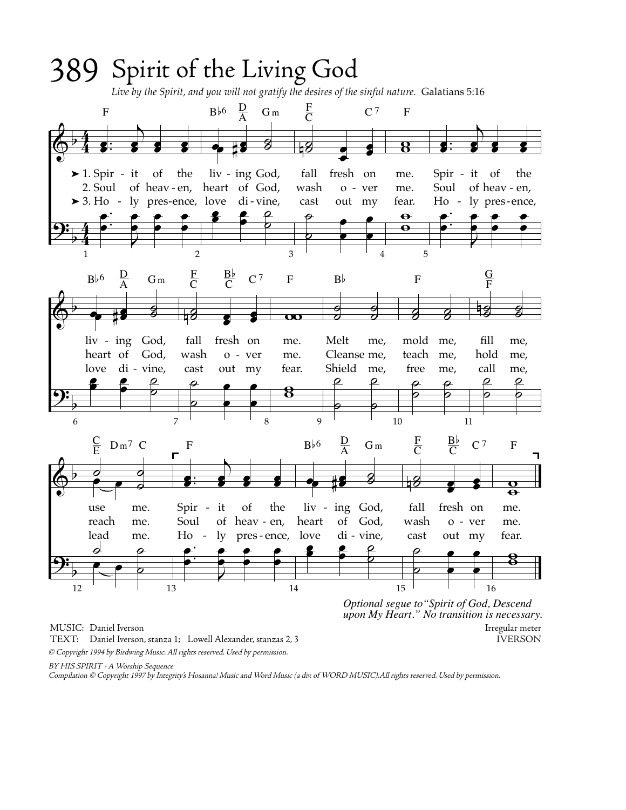

*Optional segue to"Spirit of God, Descend upon My Heart." No transition is necessary.* MUSIC: Daniel Iverson Irregular meter

© Copyright 1994 by Birdwing Music. All rights reserved. Used by permission. TEXT: Daniel Iverson, stanza 1; Lowell Alexander, stanzas 2, 3 IVERSON

BY HIS SPIRIT - A Worship Sequence

Compilation © Copyright 1997 by Integrity's Hosanna! Music and Word Music (a div. of WORD MUSIC).All rights reserved. Used by permission.